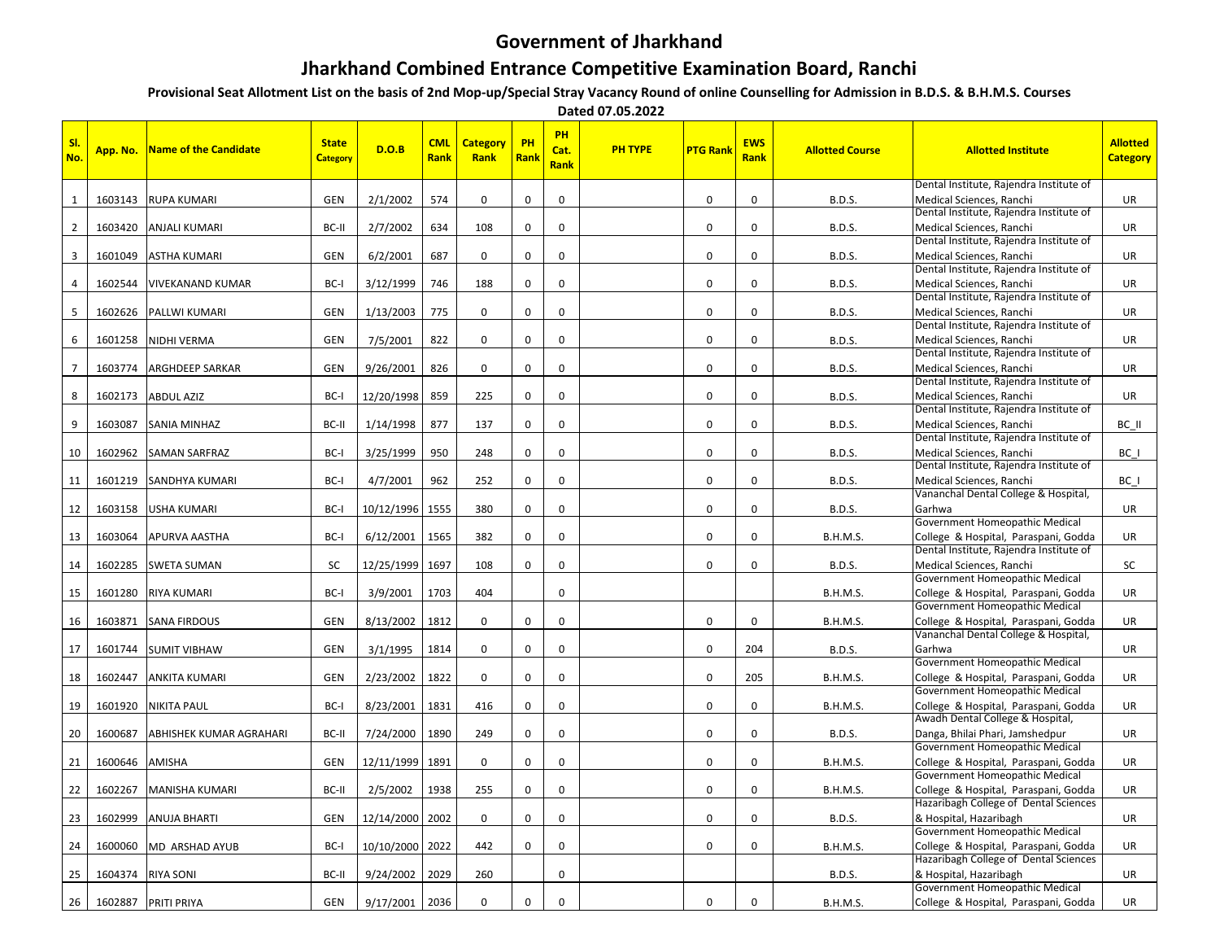## **Government of Jharkhand**

## **Jharkhand Combined Entrance Competitive Examination Board, Ranchi**

**Provisional Seat Allotment List on the basis of 2nd Mop-up/Special Stray Vacancy Round of online Counselling for Admission in B.D.S. & B.H.M.S. Courses**

 **Dated 07.05.2022**

| No.            | App. No. | Name of the Candidate   | <b>State</b><br><b>Category</b> | D.O.B      | <b>CML</b><br>Rank | <b>Category</b><br>Rank | <b>PH</b><br><b>Rank</b> | PH<br>Cat.<br>Rank | <b>PH TYPE</b> | <b>PTG Rank</b> | <b>EWS</b><br>Rank | <b>Allotted Course</b> | <b>Allotted Institute</b>                                                     | <b>Allotted</b><br><b>Category</b> |
|----------------|----------|-------------------------|---------------------------------|------------|--------------------|-------------------------|--------------------------|--------------------|----------------|-----------------|--------------------|------------------------|-------------------------------------------------------------------------------|------------------------------------|
| -1             | 1603143  | <b>RUPA KUMARI</b>      | <b>GEN</b>                      | 2/1/2002   | 574                | $\Omega$                | 0                        | 0                  |                | 0               | $\Omega$           | <b>B.D.S.</b>          | Dental Institute, Rajendra Institute of<br>Medical Sciences, Ranchi           | UR                                 |
|                |          |                         |                                 |            |                    |                         |                          |                    |                |                 |                    |                        | Dental Institute, Rajendra Institute of                                       |                                    |
| $\overline{2}$ | 1603420  | <b>ANJALI KUMARI</b>    | BC-II                           | 2/7/2002   | 634                | 108                     | 0                        | $\mathbf 0$        |                | 0               | 0                  | <b>B.D.S.</b>          | Medical Sciences, Ranchi                                                      | UR                                 |
|                |          |                         |                                 |            |                    |                         |                          |                    |                |                 |                    |                        | Dental Institute, Rajendra Institute of                                       |                                    |
| 3              | 1601049  | <b>ASTHA KUMARI</b>     | <b>GEN</b>                      | 6/2/2001   | 687                | $\mathbf 0$             | 0                        | $\mathbf 0$        |                | $\mathbf 0$     | 0                  | <b>B.D.S.</b>          | Medical Sciences, Ranchi<br>Dental Institute, Rajendra Institute of           | <b>UR</b>                          |
|                | 1602544  | <b>VIVEKANAND KUMAR</b> | BC-I                            | 3/12/1999  | 746                | 188                     | $\mathbf 0$              | $\mathbf 0$        |                | $\mathbf 0$     | $\Omega$           | <b>B.D.S.</b>          | Medical Sciences, Ranchi                                                      | UR                                 |
|                |          |                         |                                 |            |                    |                         |                          |                    |                |                 |                    |                        | Dental Institute, Rajendra Institute of                                       |                                    |
| 5              | 1602626  | PALLWI KUMARI           | GEN                             | 1/13/2003  | 775                | $\mathbf 0$             | 0                        | $\mathbf 0$        |                | $\mathbf 0$     | 0                  | <b>B.D.S.</b>          | Medical Sciences, Ranchi                                                      | <b>UR</b>                          |
|                |          |                         |                                 |            |                    |                         |                          |                    |                |                 |                    |                        | Dental Institute, Rajendra Institute of                                       |                                    |
| 6              | 1601258  | NIDHI VERMA             | GEN                             | 7/5/2001   | 822                | $\Omega$                | 0                        | $\mathbf 0$        |                | $\mathbf 0$     | 0                  | <b>B.D.S.</b>          | Medical Sciences, Ranchi<br>Dental Institute, Rajendra Institute of           | UR                                 |
| $\overline{7}$ | 1603774  | <b>ARGHDEEP SARKAR</b>  | <b>GEN</b>                      | 9/26/2001  | 826                | $\Omega$                | 0                        | $\Omega$           |                | 0               | $\Omega$           | <b>B.D.S.</b>          | Medical Sciences, Ranchi                                                      | UR                                 |
|                |          |                         |                                 |            |                    |                         |                          |                    |                |                 |                    |                        | Dental Institute, Rajendra Institute of                                       |                                    |
| 8              | 1602173  | <b>ABDUL AZIZ</b>       | BC-I                            | 12/20/1998 | 859                | 225                     | $\mathbf 0$              | $\mathbf 0$        |                | 0               | 0                  | <b>B.D.S.</b>          | Medical Sciences, Ranchi                                                      | UR                                 |
|                |          |                         |                                 |            |                    |                         |                          |                    |                |                 |                    |                        | Dental Institute, Rajendra Institute of                                       |                                    |
| 9              | 1603087  | <b>SANIA MINHAZ</b>     | BC-II                           | 1/14/1998  | 877                | 137                     | 0                        | $\mathbf 0$        |                | $\mathbf 0$     | $\Omega$           | <b>B.D.S.</b>          | Medical Sciences, Ranchi<br>Dental Institute, Rajendra Institute of           | BC II                              |
| 10             | 1602962  | <b>SAMAN SARFRAZ</b>    | BC-I                            | 3/25/1999  | 950                | 248                     | 0                        | $\mathbf 0$        |                | $\mathbf 0$     | $\mathbf 0$        | <b>B.D.S.</b>          | Medical Sciences, Ranchi                                                      | BC I                               |
|                |          |                         |                                 |            |                    |                         |                          |                    |                |                 |                    |                        | Dental Institute, Rajendra Institute of                                       |                                    |
| 11             | 1601219  | <b>SANDHYA KUMARI</b>   | BC-I                            | 4/7/2001   | 962                | 252                     | $\mathbf 0$              | $\mathbf 0$        |                | $\mathbf 0$     | $\mathbf 0$        | <b>B.D.S.</b>          | Medical Sciences, Ranchi                                                      | BC I                               |
|                |          |                         |                                 |            |                    |                         |                          |                    |                |                 |                    |                        | Vananchal Dental College & Hospital,                                          |                                    |
| 12             | 1603158  | <b>USHA KUMARI</b>      | BC-I                            | 10/12/1996 | 1555               | 380                     | 0                        | $\Omega$           |                | $\Omega$        | $\Omega$           | <b>B.D.S.</b>          | Garhwa<br>Government Homeopathic Medical                                      | <b>UR</b>                          |
| 13             | 1603064  | <b>APURVA AASTHA</b>    | BC-I                            | 6/12/2001  | 1565               | 382                     | 0                        | $\mathbf 0$        |                | 0               | $\Omega$           | <b>B.H.M.S.</b>        | College & Hospital, Paraspani, Godda                                          | UR                                 |
|                |          |                         |                                 |            |                    |                         |                          |                    |                |                 |                    |                        | Dental Institute, Rajendra Institute of                                       |                                    |
| 14             | 1602285  | <b>SWETA SUMAN</b>      | SC                              | 12/25/1999 | 1697               | 108                     | $\mathbf 0$              | 0                  |                | 0               | 0                  | <b>B.D.S.</b>          | Medical Sciences, Ranchi                                                      | SC                                 |
|                |          |                         |                                 |            |                    |                         |                          |                    |                |                 |                    |                        | Government Homeopathic Medical                                                |                                    |
| 15             | 1601280  | <b>RIYA KUMARI</b>      | BC-I                            | 3/9/2001   | 1703               | 404                     |                          | $\mathbf 0$        |                |                 |                    | <b>B.H.M.S.</b>        | College & Hospital, Paraspani, Godda<br>Government Homeopathic Medical        | <b>UR</b>                          |
| 16             |          | 1603871 SANA FIRDOUS    | <b>GEN</b>                      | 8/13/2002  | 1812               | $\mathbf 0$             | $\mathbf 0$              | $\mathbf 0$        |                | 0               | $\mathbf 0$        | <b>B.H.M.S.</b>        | College & Hospital, Paraspani, Godda                                          | UR                                 |
|                |          |                         |                                 |            |                    |                         |                          |                    |                |                 |                    |                        | Vananchal Dental College & Hospital,                                          |                                    |
| 17             | 1601744  | <b>SUMIT VIBHAW</b>     | <b>GEN</b>                      | 3/1/1995   | 1814               | $\Omega$                | $\mathbf 0$              | $\mathbf 0$        |                | $\mathbf 0$     | 204                | <b>B.D.S.</b>          | Garhwa                                                                        | <b>UR</b>                          |
|                |          |                         |                                 |            |                    |                         |                          |                    |                |                 |                    |                        | Government Homeopathic Medical                                                |                                    |
| 18             | 1602447  | <b>ANKITA KUMARI</b>    | <b>GEN</b>                      | 2/23/2002  | 1822               | $\mathbf 0$             | 0                        | $\mathbf 0$        |                | $\mathbf 0$     | 205                | <b>B.H.M.S.</b>        | College & Hospital, Paraspani, Godda<br>Government Homeopathic Medical        | <b>UR</b>                          |
| 19             | 1601920  | <b>NIKITA PAUL</b>      | BC-I                            | 8/23/2001  | 1831               | 416                     | 0                        | $\mathbf 0$        |                | 0               | 0                  | <b>B.H.M.S.</b>        | College & Hospital, Paraspani, Godda                                          | <b>UR</b>                          |
|                |          |                         |                                 |            |                    |                         |                          |                    |                |                 |                    |                        | Awadh Dental College & Hospital,                                              |                                    |
| 20             | 1600687  | ABHISHEK KUMAR AGRAHARI | BC-II                           | 7/24/2000  | 1890               | 249                     | 0                        | $\mathbf 0$        |                | 0               | 0                  | <b>B.D.S.</b>          | Danga, Bhilai Phari, Jamshedpur                                               | UR                                 |
|                |          |                         |                                 |            |                    |                         |                          |                    |                |                 |                    |                        | Government Homeopathic Medical                                                |                                    |
| 21             | 1600646  | <b>AMISHA</b>           | <b>GEN</b>                      | 12/11/1999 | 1891               | $\mathbf 0$             | $\mathbf 0$              | $\mathbf 0$        |                | $\mathbf 0$     | $\mathbf 0$        | <b>B.H.M.S.</b>        | College & Hospital, Paraspani, Godda<br>Government Homeopathic Medical        | UR                                 |
| 22             | 1602267  | <b>MANISHA KUMARI</b>   | BC-II                           | 2/5/2002   | 1938               | 255                     | 0                        | $\mathbf 0$        |                | 0               | $\mathbf 0$        | <b>B.H.M.S.</b>        | College & Hospital, Paraspani, Godda                                          | <b>UR</b>                          |
|                |          |                         |                                 |            |                    |                         |                          |                    |                |                 |                    |                        | Hazaribagh College of Dental Sciences                                         |                                    |
| 23             | 1602999  | <b>ANUJA BHARTI</b>     | <b>GEN</b>                      | 12/14/2000 | 2002               | $\Omega$                | 0                        | $\mathbf 0$        |                | $\mathbf 0$     | $\Omega$           | <b>B.D.S.</b>          | & Hospital, Hazaribagh                                                        | <b>UR</b>                          |
|                |          |                         |                                 |            |                    |                         |                          |                    |                |                 |                    |                        | Government Homeopathic Medical                                                |                                    |
| 24             | 1600060  | MD ARSHAD AYUB          | BC-I                            | 10/10/2000 | 2022               | 442                     | $\mathbf 0$              | $\mathbf 0$        |                | $\mathbf 0$     | 0                  | <b>B.H.M.S.</b>        | College & Hospital, Paraspani, Godda<br>Hazaribagh College of Dental Sciences | UR                                 |
| 25             |          | 1604374 RIYA SONI       | BC-II                           | 9/24/2002  | 2029               | 260                     |                          | 0                  |                |                 |                    | <b>B.D.S.</b>          | & Hospital, Hazaribagh                                                        | UR                                 |
|                |          |                         |                                 |            |                    |                         |                          |                    |                |                 |                    |                        | Government Homeopathic Medical                                                |                                    |
| 26             |          | 1602887 PRITI PRIYA     | GEN                             | 9/17/2001  | 2036               | $\Omega$                | $\Omega$                 | $\Omega$           |                | $\Omega$        | $\Omega$           | <b>B.H.M.S.</b>        | College & Hospital, Paraspani, Godda                                          | UR                                 |